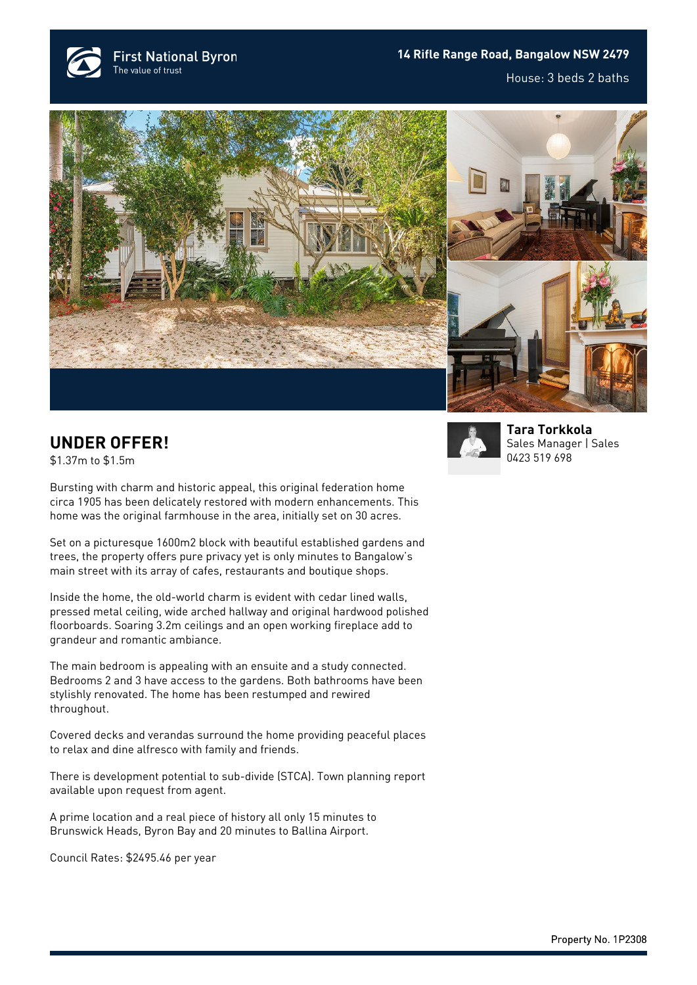

## **14 Rifle Range Road, Bangalow NSW 2479** House: 3 beds 2 baths





## **UNDER OFFER!**

\$1.37m to \$1.5m



Set on a picturesque 1600m2 block with beautiful established gardens and trees, the property offers pure privacy yet is only minutes to Bangalow's main street with its array of cafes, restaurants and boutique shops.

Inside the home, the old-world charm is evident with cedar lined walls, pressed metal ceiling, wide arched hallway and original hardwood polished floorboards. Soaring 3.2m ceilings and an open working fireplace add to grandeur and romantic ambiance.

The main bedroom is appealing with an ensuite and a study connected. Bedrooms 2 and 3 have access to the gardens. Both bathrooms have been stylishly renovated. The home has been restumped and rewired throughout.

Covered decks and verandas surround the home providing peaceful places to relax and dine alfresco with family and friends.

There is development potential to sub-divide (STCA). Town planning report available upon request from agent.

A prime location and a real piece of history all only 15 minutes to Brunswick Heads, Byron Bay and 20 minutes to Ballina Airport.

Council Rates: \$2495.46 per year



**[Tara Torkkola](https://www.byronbayfn.com.au/agents/tara-torkkola/)** Sales Manager | Sales [0423 519 698](#page--1-0)